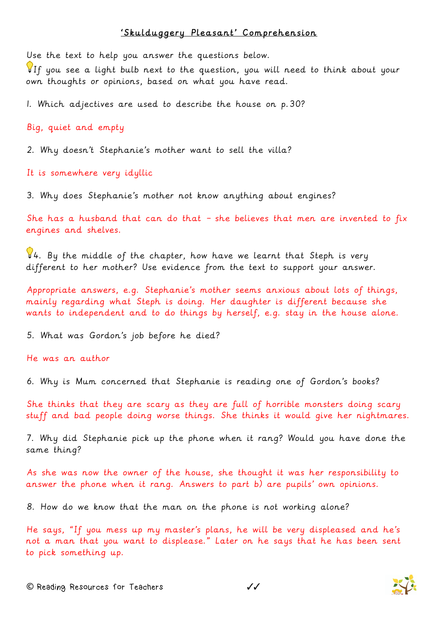## 'Skulduggery Pleasant' Comprehension

Use the text to help you answer the questions below.

If you see a light bulb next to the question, you will need to think about your own thoughts or opinions, based on what you have read.

1. Which adjectives are used to describe the house on p.30?

Big, quiet and empty

2. Why doesn't Stephanie's mother want to sell the villa?

It is somewhere very idyllic

3. Why does Stephanie's mother not know anything about engines?

She has a husband that can do that – she believes that men are invented to fix engines and shelves.

 $44.$  By the middle of the chapter, how have we learnt that Steph is very different to her mother? Use evidence from the text to support your answer.

Appropriate answers, e.g. Stephanie's mother seems anxious about lots of things, mainly regarding what Steph is doing. Her daughter is different because she wants to independent and to do things by herself, e.g. stay in the house alone.

5. What was Gordon's job before he died?

He was an author

6. Why is Mum concerned that Stephanie is reading one of Gordon's books?

She thinks that they are scary as they are full of horrible monsters doing scary stuff and bad people doing worse things. She thinks it would give her nightmares.

7. Why did Stephanie pick up the phone when it rang? Would you have done the same thing?

As she was now the owner of the house, she thought it was her responsibility to answer the phone when it rang. Answers to part b) are pupils' own opinions.

8. How do we know that the man on the phone is not working alone?

He says, "If you mess up my master's plans, he will be very displeased and he's not a man that you want to displease." Later on he says that he has been sent to pick something up.